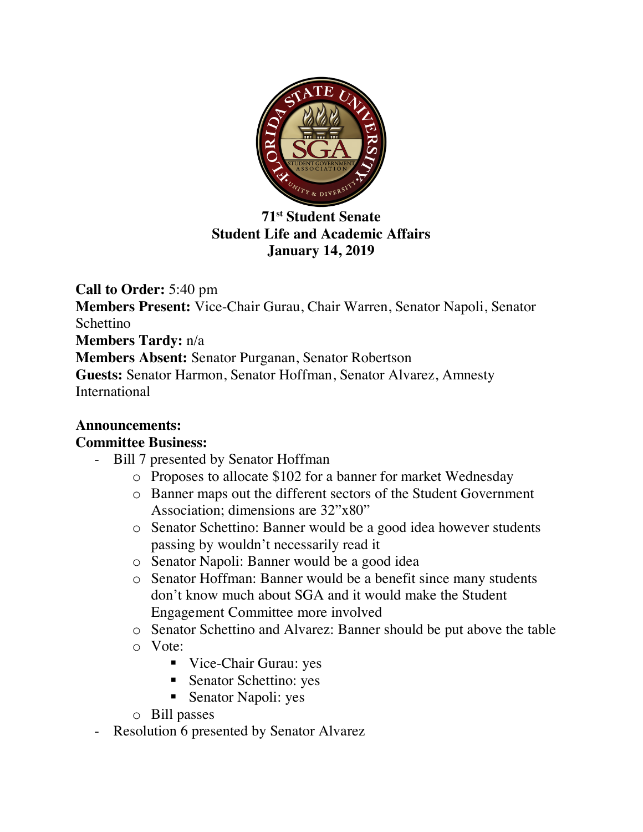

**71st Student Senate Student Life and Academic Affairs January 14, 2019**

**Call to Order:** 5:40 pm **Members Present:** Vice-Chair Gurau, Chair Warren, Senator Napoli, Senator Schettino **Members Tardy:** n/a **Members Absent:** Senator Purganan, Senator Robertson **Guests:** Senator Harmon, Senator Hoffman, Senator Alvarez, Amnesty International

## **Announcements:**

## **Committee Business:**

- Bill 7 presented by Senator Hoffman
	- o Proposes to allocate \$102 for a banner for market Wednesday
	- o Banner maps out the different sectors of the Student Government Association; dimensions are 32"x80"
	- o Senator Schettino: Banner would be a good idea however students passing by wouldn't necessarily read it
	- o Senator Napoli: Banner would be a good idea
	- o Senator Hoffman: Banner would be a benefit since many students don't know much about SGA and it would make the Student Engagement Committee more involved
	- o Senator Schettino and Alvarez: Banner should be put above the table
	- o Vote:
		- Vice-Chair Gurau: yes
		- Senator Schettino: yes
		- Senator Napoli: yes
	- o Bill passes
- Resolution 6 presented by Senator Alvarez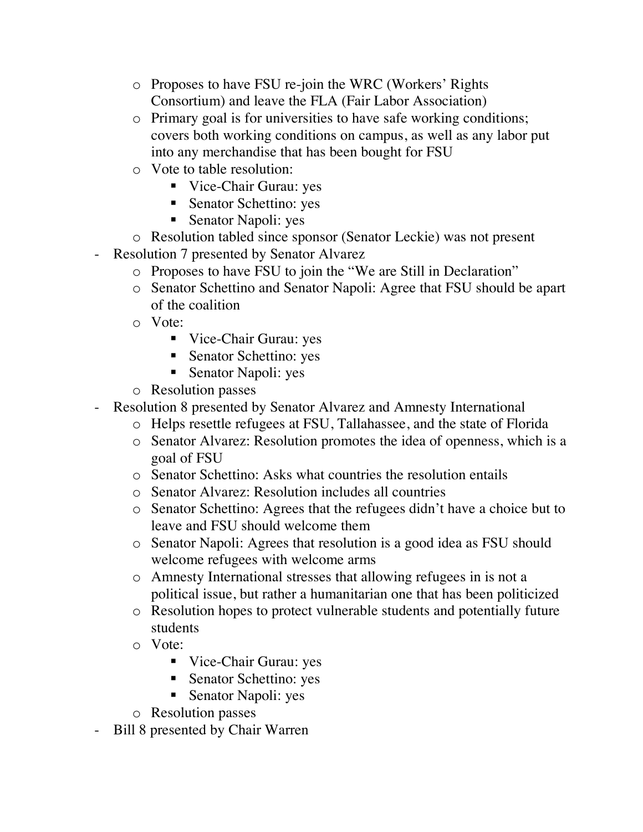- o Proposes to have FSU re-join the WRC (Workers' Rights Consortium) and leave the FLA (Fair Labor Association)
- o Primary goal is for universities to have safe working conditions; covers both working conditions on campus, as well as any labor put into any merchandise that has been bought for FSU
- o Vote to table resolution:
	- Vice-Chair Gurau: yes
	- Senator Schettino: yes
	- Senator Napoli: yes
- o Resolution tabled since sponsor (Senator Leckie) was not present
- Resolution 7 presented by Senator Alvarez
	- o Proposes to have FSU to join the "We are Still in Declaration"
	- o Senator Schettino and Senator Napoli: Agree that FSU should be apart of the coalition
	- o Vote:
		- Vice-Chair Gurau: yes
		- Senator Schettino: yes
		- Senator Napoli: yes
	- o Resolution passes
- Resolution 8 presented by Senator Alvarez and Amnesty International
	- o Helps resettle refugees at FSU, Tallahassee, and the state of Florida
	- o Senator Alvarez: Resolution promotes the idea of openness, which is a goal of FSU
	- o Senator Schettino: Asks what countries the resolution entails
	- o Senator Alvarez: Resolution includes all countries
	- o Senator Schettino: Agrees that the refugees didn't have a choice but to leave and FSU should welcome them
	- o Senator Napoli: Agrees that resolution is a good idea as FSU should welcome refugees with welcome arms
	- o Amnesty International stresses that allowing refugees in is not a political issue, but rather a humanitarian one that has been politicized
	- o Resolution hopes to protect vulnerable students and potentially future students
	- o Vote:
		- Vice-Chair Gurau: yes
		- Senator Schettino: yes
		- Senator Napoli: yes
	- o Resolution passes
- Bill 8 presented by Chair Warren